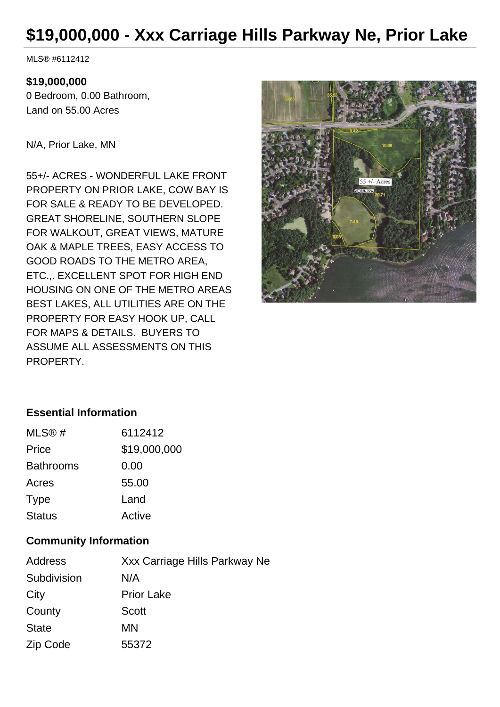## **\$19,000,000 - Xxx Carriage Hills Parkway Ne, Prior Lake**

MLS® #6112412

## **\$19,000,000**

0 Bedroom, 0.00 Bathroom, Land on 55.00 Acres

N/A, Prior Lake, MN

55+/- ACRES - WONDERFUL LAKE FRONT PROPERTY ON PRIOR LAKE, COW BAY IS FOR SALE & READY TO BE DEVELOPED. GREAT SHORELINE, SOUTHERN SLOPE FOR WALKOUT, GREAT VIEWS, MATURE OAK & MAPLE TREES, EASY ACCESS TO GOOD ROADS TO THE METRO AREA, ETC.,. EXCELLENT SPOT FOR HIGH END HOUSING ON ONE OF THE METRO AREAS BEST LAKES, ALL UTILITIES ARE ON THE PROPERTY FOR EASY HOOK UP, CALL FOR MAPS & DETAILS. BUYERS TO ASSUME ALL ASSESSMENTS ON THIS PROPERTY.



## **Essential Information**

| MLS@#            | 6112412      |
|------------------|--------------|
| Price            | \$19,000,000 |
| <b>Bathrooms</b> | 0.00         |
| Acres            | 55.00        |
| <b>Type</b>      | Land         |
| <b>Status</b>    | Active       |

## **Community Information**

| Address      | Xxx Carriage Hills Parkway Ne |
|--------------|-------------------------------|
| Subdivision  | N/A                           |
| City         | <b>Prior Lake</b>             |
| County       | <b>Scott</b>                  |
| <b>State</b> | MN                            |
| Zip Code     | 55372                         |